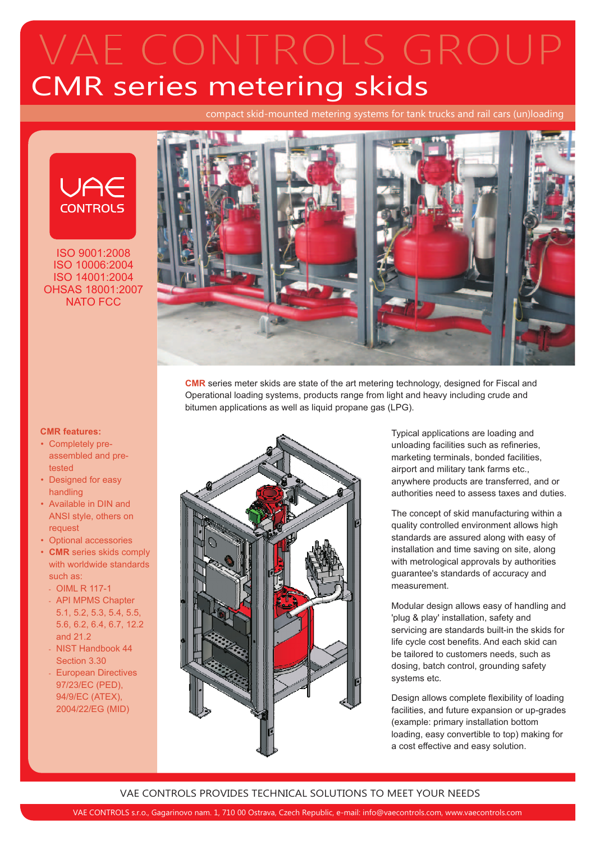# CMR series metering skids VAE CONTROLS GROUP

compact skid-mounted metering systems for tank trucks and rail cars (un)loading



ISO 9001:2008 ISO 10006:2004 ISO 14001:2004 OHSAS 18001:2007 NATO FCC



**CMR** series meter skids are state of the art metering technology, designed for Fiscal and Operational loading systems, products range from light and heavy including crude and bitumen applications as well as liquid propane gas (LPG).



Typical applications are loading and unloading facilities such as refineries, marketing terminals, bonded facilities, airport and military tank farms etc., anywhere products are transferred, and or authorities need to assess taxes and duties.

The concept of skid manufacturing within a quality controlled environment allows high standards are assured along with easy of installation and time saving on site, along with metrological approvals by authorities guarantee's standards of accuracy and measurement.

Modular design allows easy of handling and 'plug & play' installation, safety and servicing are standards built-in the skids for life cycle cost benefits. And each skid can be tailored to customers needs, such as dosing, batch control, grounding safety systems etc.

Design allows complete flexibility of loading facilities, and future expansion or up-grades (example: primary installation bottom loading, easy convertible to top) making for a cost effective and easy solution.

## VAE CONTROLS PROVIDES TECHNICAL SOLUTIONS TO MEET YOUR NEEDS

#### **CMR features:**

- Completely preassembled and pretested
- Designed for easy handling
- Available in DIN and ANSI style, others on request
- Optional accessories
- CMR series skids comply with worldwide standards such as:
- OIML R 117-1
- API MPMS Chapter 5.1, 5.2, 5.3, 5.4, 5.5, 5.6, 6.2, 6.4, 6.7, 12.2 and 21.2
- NIST Handbook 44 Section 3.30 -
- European Directives 97/23/EC (PED), 94/9/EC (ATEX), 2004/22/EG (MID) -